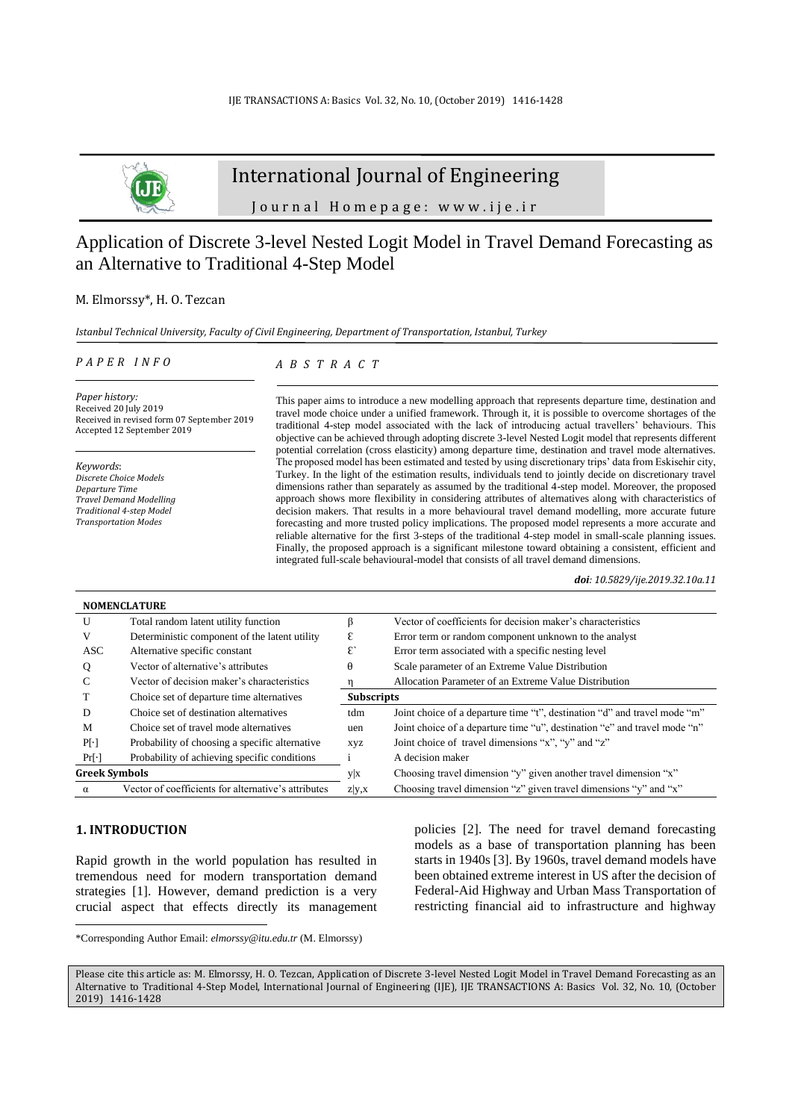

# International Journal of Engineering

Journal Homepage: www.ije.ir

# Application of Discrete 3-level Nested Logit Model in Travel Demand Forecasting as an Alternative to Traditional 4-Step Model

## M. Elmorssy\*, H. O. Tezcan

*Istanbul Technical University, Faculty of Civil Engineering, Department of Transportation, Istanbul, Turkey*

#### *P A P E R I N F O*

## *A B S T R A C T*

*Paper history:* Received 20 July 2019 Received in revised form 07 September 2019 Accepted 12 September 2019

*Keywords*: *Discrete Choice Models Departure Time Travel Demand Modelling Traditional 4-step Model Transportation Modes*

This paper aims to introduce a new modelling approach that represents departure time, destination and travel mode choice under a unified framework. Through it, it is possible to overcome shortages of the traditional 4-step model associated with the lack of introducing actual travellers' behaviours. This objective can be achieved through adopting discrete 3-level Nested Logit model that represents different potential correlation (cross elasticity) among departure time, destination and travel mode alternatives. The proposed model has been estimated and tested by using discretionary trips' data from Eskisehir city, Turkey. In the light of the estimation results, individuals tend to jointly decide on discretionary travel dimensions rather than separately as assumed by the traditional 4-step model. Moreover, the proposed approach shows more flexibility in considering attributes of alternatives along with characteristics of decision makers. That results in a more behavioural travel demand modelling, more accurate future forecasting and more trusted policy implications. The proposed model represents a more accurate and reliable alternative for the first 3-steps of the traditional 4-step model in small-scale planning issues. Finally, the proposed approach is a significant milestone toward obtaining a consistent, efficient and integrated full-scale behavioural-model that consists of all travel demand dimensions.

*doi: 10.5829/ije.2019.32.10a.11*

|                      | <b>NOMENCLATURE</b>                                 |                                                                                  |                                                                           |  |  |  |
|----------------------|-----------------------------------------------------|----------------------------------------------------------------------------------|---------------------------------------------------------------------------|--|--|--|
| U                    | Total random latent utility function                |                                                                                  | Vector of coefficients for decision maker's characteristics               |  |  |  |
| V                    | Deterministic component of the latent utility       | ε                                                                                | Error term or random component unknown to the analyst                     |  |  |  |
| ASC                  | Alternative specific constant                       | $\mathcal{E}$                                                                    | Error term associated with a specific nesting level                       |  |  |  |
| Q                    | Vector of alternative's attributes                  | θ                                                                                | Scale parameter of an Extreme Value Distribution                          |  |  |  |
| C                    | Vector of decision maker's characteristics          |                                                                                  | Allocation Parameter of an Extreme Value Distribution                     |  |  |  |
|                      | Choice set of departure time alternatives           | <b>Subscripts</b>                                                                |                                                                           |  |  |  |
| D                    | Choice set of destination alternatives              | Joint choice of a departure time "t", destination "d" and travel mode "m"<br>tdm |                                                                           |  |  |  |
| M                    | Choice set of travel mode alternatives              | uen                                                                              | Joint choice of a departure time "u", destination "e" and travel mode "n" |  |  |  |
| $P[\cdot]$           | Probability of choosing a specific alternative      | <b>XVZ</b>                                                                       | Joint choice of travel dimensions "x", "y" and "z"                        |  |  |  |
| $Pr[\cdot]$          | Probability of achieving specific conditions        |                                                                                  | A decision maker                                                          |  |  |  |
| <b>Greek Symbols</b> |                                                     | уx                                                                               | Choosing travel dimension "y" given another travel dimension "x"          |  |  |  |
| $\alpha$             | Vector of coefficients for alternative's attributes | Z V,X                                                                            | Choosing travel dimension "z" given travel dimensions "y" and "x"         |  |  |  |

### **1. INTRODUCTION<sup>1</sup>**

Rapid growth in the world population has resulted in tremendous need for modern transportation demand strategies [\[1\]](#page-10-0). However, demand prediction is a very crucial aspect that effects directly its management policies [\[2\]](#page-10-1). The need for travel demand forecasting models as a base of transportation planning has been starts in 1940s [\[3\]](#page-11-0). By 1960s, travel demand models have been obtained extreme interest in US after the decision of Federal-Aid Highway and Urban Mass Transportation of restricting financial aid to infrastructure and highway

<sup>\*</sup>Corresponding Author Email: *elmorssy@itu.edu.tr* (M. Elmorssy)

Please cite this article as: M. Elmorssy, H. O. Tezcan, Application of Discrete 3-level Nested Logit Model in Travel Demand Forecasting as an Alternative to Traditional 4-Step Model, International Journal of Engineering (IJE), IJE TRANSACTIONS A: Basics Vol. 32, No. 10, (October 2019) 1416-1428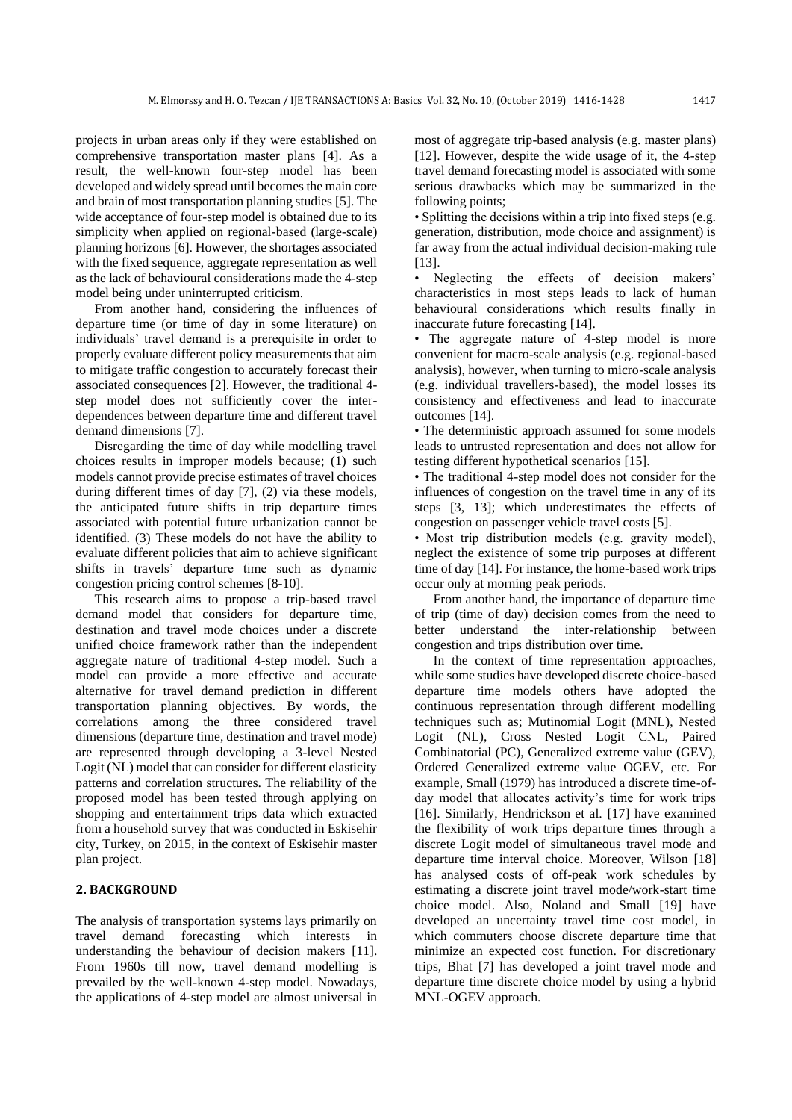projects in urban areas only if they were established on comprehensive transportation master plans [\[4\]](#page-11-1). As a result, the well-known four-step model has been developed and widely spread until becomes the main core and brain of most transportation planning studies [\[5\]](#page-11-2). The wide acceptance of four-step model is obtained due to its simplicity when applied on regional-based (large-scale) planning horizons [\[6\]](#page-11-3). However, the shortages associated with the fixed sequence, aggregate representation as well as the lack of behavioural considerations made the 4-step model being under uninterrupted criticism.

From another hand, considering the influences of departure time (or time of day in some literature) on individuals' travel demand is a prerequisite in order to properly evaluate different policy measurements that aim to mitigate traffic congestion to accurately forecast their associated consequences [2]. However, the traditional 4 step model does not sufficiently cover the interdependences between departure time and different travel demand dimensions [\[7\]](#page-11-4).

Disregarding the time of day while modelling travel choices results in improper models because; (1) such models cannot provide precise estimates of travel choices during different times of day [7], (2) via these models, the anticipated future shifts in trip departure times associated with potential future urbanization cannot be identified. (3) These models do not have the ability to evaluate different policies that aim to achieve significant shifts in travels' departure time such as dynamic congestion pricing control schemes [\[8-10\]](#page-11-5).

This research aims to propose a trip-based travel demand model that considers for departure time, destination and travel mode choices under a discrete unified choice framework rather than the independent aggregate nature of traditional 4-step model. Such a model can provide a more effective and accurate alternative for travel demand prediction in different transportation planning objectives. By words, the correlations among the three considered travel dimensions (departure time, destination and travel mode) are represented through developing a 3-level Nested Logit (NL) model that can consider for different elasticity patterns and correlation structures. The reliability of the proposed model has been tested through applying on shopping and entertainment trips data which extracted from a household survey that was conducted in Eskisehir city, Turkey, on 2015, in the context of Eskisehir master plan project.

### **2. BACKGROUND**

The analysis of transportation systems lays primarily on travel demand forecasting which interests in understanding the behaviour of decision makers [\[11\]](#page-11-6). From 1960s till now, travel demand modelling is prevailed by the well-known 4-step model. Nowadays, the applications of 4-step model are almost universal in most of aggregate trip-based analysis (e.g. master plans) [\[12\]](#page-11-7). However, despite the wide usage of it, the 4-step travel demand forecasting model is associated with some serious drawbacks which may be summarized in the following points;

• Splitting the decisions within a trip into fixed steps (e.g. generation, distribution, mode choice and assignment) is far away from the actual individual decision-making rule [\[13\]](#page-11-8).

Neglecting the effects of decision makers' characteristics in most steps leads to lack of human behavioural considerations which results finally in inaccurate future forecasting [\[14\]](#page-11-9).

• The aggregate nature of 4-step model is more convenient for macro-scale analysis (e.g. regional-based analysis), however, when turning to micro-scale analysis (e.g. individual travellers-based), the model losses its consistency and effectiveness and lead to inaccurate outcomes [14].

• The deterministic approach assumed for some models leads to untrusted representation and does not allow for testing different hypothetical scenarios [\[15\]](#page-11-10).

• The traditional 4-step model does not consider for the influences of congestion on the travel time in any of its steps [3, 13]; which underestimates the effects of congestion on passenger vehicle travel costs [5].

• Most trip distribution models (e.g. gravity model), neglect the existence of some trip purposes at different time of day [14]. For instance, the home-based work trips occur only at morning peak periods.

From another hand, the importance of departure time of trip (time of day) decision comes from the need to better understand the inter-relationship between congestion and trips distribution over time.

In the context of time representation approaches, while some studies have developed discrete choice-based departure time models others have adopted the continuous representation through different modelling techniques such as; Mutinomial Logit (MNL), Nested Logit (NL), Cross Nested Logit CNL, Paired Combinatorial (PC), Generalized extreme value (GEV), Ordered Generalized extreme value OGEV, etc. For example, Small (1979) has introduced a discrete time-ofday model that allocates activity's time for work trips [\[16\]](#page-11-11). Similarly, Hendrickson et al. [\[17\]](#page-11-12) have examined the flexibility of work trips departure times through a discrete Logit model of simultaneous travel mode and departure time interval choice. Moreover, Wilson [\[18\]](#page-11-13) has analysed costs of off-peak work schedules by estimating a discrete joint travel mode/work-start time choice model. Also, Noland and Small [\[19\]](#page-11-14) have developed an uncertainty travel time cost model, in which commuters choose discrete departure time that minimize an expected cost function. For discretionary trips, Bhat [7] has developed a joint travel mode and departure time discrete choice model by using a hybrid MNL-OGEV approach.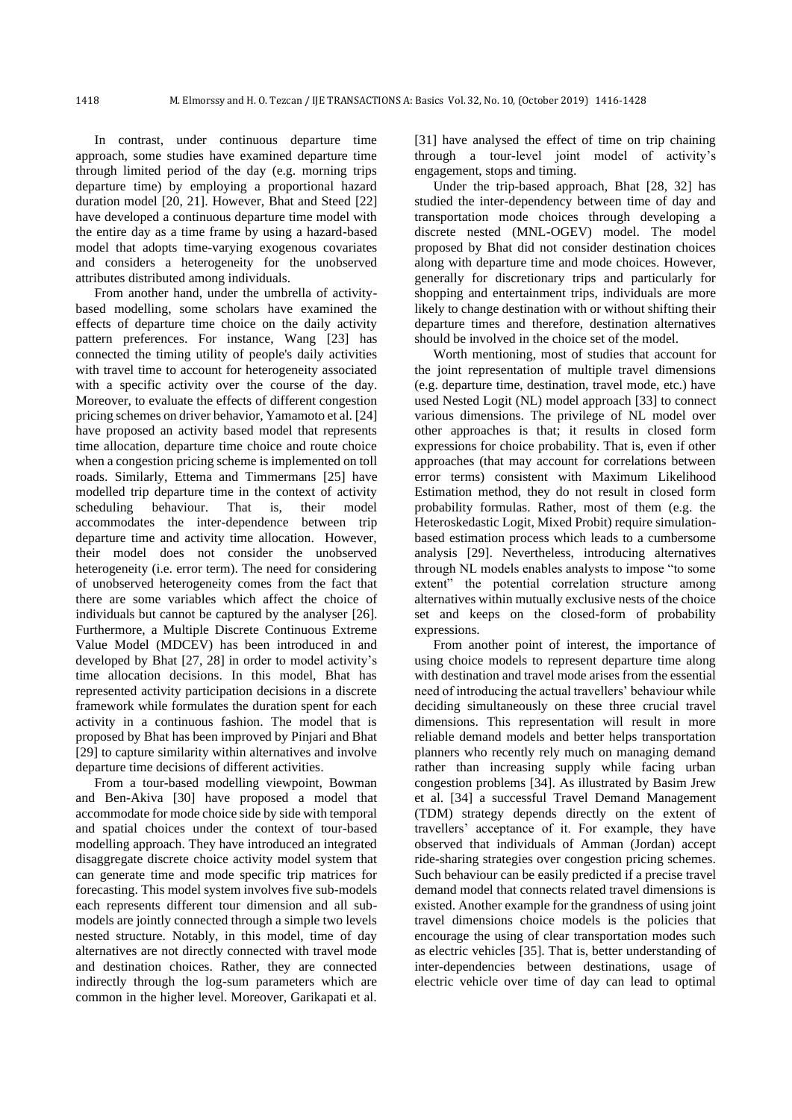In contrast, under continuous departure time approach, some studies have examined departure time through limited period of the day (e.g. morning trips departure time) by employing a proportional hazard duration model [\[20,](#page-11-15) [21\]](#page-11-16). However, Bhat and Steed [\[22\]](#page-11-17) have developed a continuous departure time model with the entire day as a time frame by using a hazard-based model that adopts time-varying exogenous covariates and considers a heterogeneity for the unobserved attributes distributed among individuals.

From another hand, under the umbrella of activitybased modelling, some scholars have examined the effects of departure time choice on the daily activity pattern preferences. For instance, Wang [\[23\]](#page-11-18) has connected the timing utility of people's daily activities with travel time to account for heterogeneity associated with a specific activity over the course of the day. Moreover, to evaluate the effects of different congestion pricing schemes on driver behavior, Yamamoto et al. [\[24\]](#page-11-19) have proposed an activity based model that represents time allocation, departure time choice and route choice when a congestion pricing scheme is implemented on toll roads. Similarly, Ettema and Timmermans [\[25\]](#page-11-20) have modelled trip departure time in the context of activity scheduling behaviour. That is, their model accommodates the inter-dependence between trip departure time and activity time allocation. However, their model does not consider the unobserved heterogeneity (i.e. error term). The need for considering of unobserved heterogeneity comes from the fact that there are some variables which affect the choice of individuals but cannot be captured by the analyser [\[26\]](#page-11-21). Furthermore, a Multiple Discrete Continuous Extreme Value Model (MDCEV) has been introduced in and developed by Bhat [\[27,](#page-11-22) [28\]](#page-11-23) in order to model activity's time allocation decisions. In this model, Bhat has represented activity participation decisions in a discrete framework while formulates the duration spent for each activity in a continuous fashion. The model that is proposed by Bhat has been improved by Pinjari and Bhat [\[29\]](#page-11-24) to capture similarity within alternatives and involve departure time decisions of different activities.

From a tour-based modelling viewpoint, Bowman and Ben-Akiva [\[30\]](#page-11-25) have proposed a model that accommodate for mode choice side by side with temporal and spatial choices under the context of tour-based modelling approach. They have introduced an integrated disaggregate discrete choice activity model system that can generate time and mode specific trip matrices for forecasting. This model system involves five sub-models each represents different tour dimension and all submodels are jointly connected through a simple two levels nested structure. Notably, in this model, time of day alternatives are not directly connected with travel mode and destination choices. Rather, they are connected indirectly through the log-sum parameters which are common in the higher level. Moreover, Garikapati et al.

[\[31\]](#page-11-26) have analysed the effect of time on trip chaining through a tour-level joint model of activity's engagement, stops and timing.

Under the trip-based approach, Bhat [\[28,](#page-11-23) [32\]](#page-11-27) has studied the inter-dependency between time of day and transportation mode choices through developing a discrete nested (MNL-OGEV) model. The model proposed by Bhat did not consider destination choices along with departure time and mode choices. However, generally for discretionary trips and particularly for shopping and entertainment trips, individuals are more likely to change destination with or without shifting their departure times and therefore, destination alternatives should be involved in the choice set of the model.

Worth mentioning, most of studies that account for the joint representation of multiple travel dimensions (e.g. departure time, destination, travel mode, etc.) have used Nested Logit (NL) model approach [\[33\]](#page-11-28) to connect various dimensions. The privilege of NL model over other approaches is that; it results in closed form expressions for choice probability. That is, even if other approaches (that may account for correlations between error terms) consistent with Maximum Likelihood Estimation method, they do not result in closed form probability formulas. Rather, most of them (e.g. the Heteroskedastic Logit, Mixed Probit) require simulationbased estimation process which leads to a cumbersome analysis [29]. Nevertheless, introducing alternatives through NL models enables analysts to impose "to some extent" the potential correlation structure among alternatives within mutually exclusive nests of the choice set and keeps on the closed-form of probability expressions.

From another point of interest, the importance of using choice models to represent departure time along with destination and travel mode arises from the essential need of introducing the actual travellers' behaviour while deciding simultaneously on these three crucial travel dimensions. This representation will result in more reliable demand models and better helps transportation planners who recently rely much on managing demand rather than increasing supply while facing urban congestion problems [\[34\]](#page-11-29). As illustrated by Basim Jrew et al. [\[34\]](#page-11-29) a successful Travel Demand Management (TDM) strategy depends directly on the extent of travellers' acceptance of it. For example, they have observed that individuals of Amman (Jordan) accept ride-sharing strategies over congestion pricing schemes. Such behaviour can be easily predicted if a precise travel demand model that connects related travel dimensions is existed. Another example for the grandness of using joint travel dimensions choice models is the policies that encourage the using of clear transportation modes such as electric vehicles [\[35\]](#page-11-30). That is, better understanding of inter-dependencies between destinations, usage of electric vehicle over time of day can lead to optimal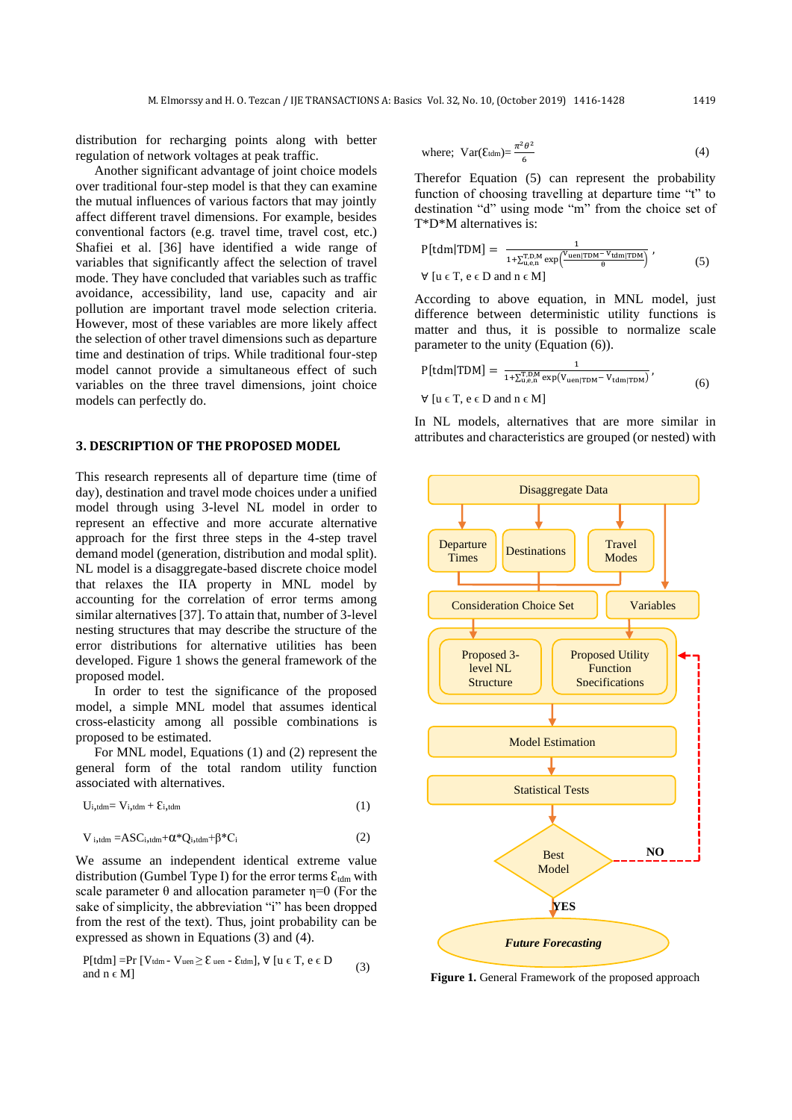distribution for recharging points along with better regulation of network voltages at peak traffic.

Another significant advantage of joint choice models over traditional four-step model is that they can examine the mutual influences of various factors that may jointly affect different travel dimensions. For example, besides conventional factors (e.g. travel time, travel cost, etc.) Shafiei et al. [\[36\]](#page-11-31) have identified a wide range of variables that significantly affect the selection of travel mode. They have concluded that variables such as traffic avoidance, accessibility, land use, capacity and air pollution are important travel mode selection criteria. However, most of these variables are more likely affect the selection of other travel dimensions such as departure time and destination of trips. While traditional four-step model cannot provide a simultaneous effect of such variables on the three travel dimensions, joint choice models can perfectly do.

#### **3. DESCRIPTION OF THE PROPOSED MODEL**

This research represents all of departure time (time of day), destination and travel mode choices under a unified model through using 3-level NL model in order to represent an effective and more accurate alternative approach for the first three steps in the 4-step travel demand model (generation, distribution and modal split). NL model is a disaggregate-based discrete choice model that relaxes the IIA property in MNL model by accounting for the correlation of error terms among similar alternatives [\[37\]](#page-11-32). To attain that, number of 3-level nesting structures that may describe the structure of the error distributions for alternative utilities has been developed. Figure 1 shows the general framework of the proposed model.

In order to test the significance of the proposed model, a simple MNL model that assumes identical cross-elasticity among all possible combinations is proposed to be estimated.

For MNL model, Equations (1) and (2) represent the general form of the total random utility function associated with alternatives.

$$
U_{i, tdm} = V_{i, tdm} + \mathcal{E}_{i, tdm} \tag{1}
$$

$$
V_{i, tdm} = ASC_{i, tdm} + \alpha^* Q_{i, tdm} + \beta^* C_i
$$
 (2)

We assume an independent identical extreme value distribution (Gumbel Type I) for the error terms  $\mathcal{E}_{tdm}$  with scale parameter  $\theta$  and allocation parameter  $\eta=0$  (For the sake of simplicity, the abbreviation "i" has been dropped from the rest of the text). Thus, joint probability can be expressed as shown in Equations (3) and (4).

$$
\begin{aligned} &P[tdm] = & Pr\ [V_{tdm} - V_{uen} \geq \epsilon_{uen} - \epsilon_{tdm}], \ \forall \ [u \in T, \, e \in D \\ & \text{and } n \in M] \end{aligned} \tag{3}
$$

where; 
$$
Var(\mathcal{E}_{\text{tdm}}) = \frac{\pi^2 \theta^2}{6}
$$
 (4)

Therefor Equation (5) can represent the probability function of choosing travelling at departure time "t" to destination "d" using mode "m" from the choice set of T\*D\*M alternatives is:

$$
P[tdm|TDM] = \frac{1}{1 + \sum_{u,e,n}^{T,D,M} exp(\frac{V_{uen|TDM} - V_{tdm|TDM}}{\theta})},
$$
  
\n
$$
\forall [u \in T, e \in D \text{ and } n \in M]
$$
\n(5)

According to above equation, in MNL model, just difference between deterministic utility functions is matter and thus, it is possible to normalize scale parameter to the unity (Equation (6)).

$$
P[tdm|TDM] = \frac{1}{1 + \sum_{u,e,n}^{T,DM} \exp(V_{uen|TDM} - V_{tdm|TDM})},
$$
  
\n
$$
\forall [u \in T, e \in D \text{ and } n \in M]
$$
 (6)

In NL models, alternatives that are more similar in attributes and characteristics are grouped (or nested) with



**Figure 1.** General Framework of the proposed approach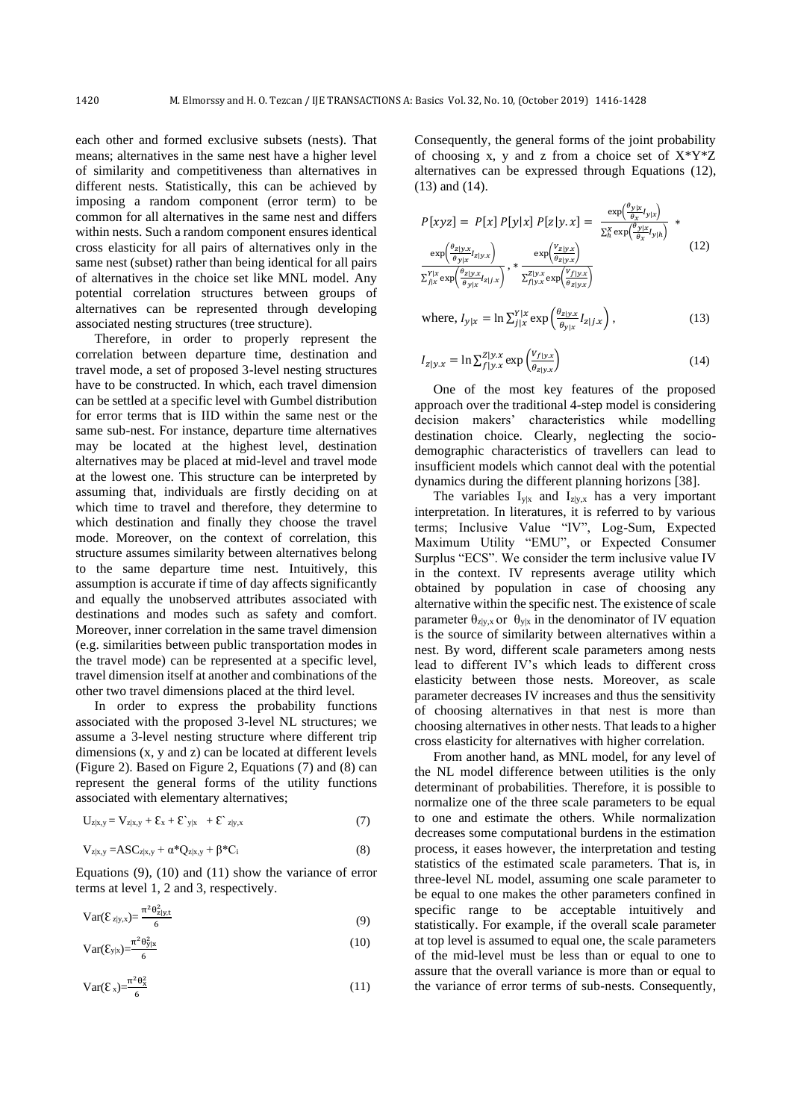each other and formed exclusive subsets (nests). That means; alternatives in the same nest have a higher level of similarity and competitiveness than alternatives in different nests. Statistically, this can be achieved by imposing a random component (error term) to be common for all alternatives in the same nest and differs within nests. Such a random component ensures identical cross elasticity for all pairs of alternatives only in the same nest (subset) rather than being identical for all pairs of alternatives in the choice set like MNL model. Any potential correlation structures between groups of alternatives can be represented through developing associated nesting structures (tree structure).

Therefore, in order to properly represent the correlation between departure time, destination and travel mode, a set of proposed 3-level nesting structures have to be constructed. In which, each travel dimension can be settled at a specific level with Gumbel distribution for error terms that is IID within the same nest or the same sub-nest. For instance, departure time alternatives may be located at the highest level, destination alternatives may be placed at mid-level and travel mode at the lowest one. This structure can be interpreted by assuming that, individuals are firstly deciding on at which time to travel and therefore, they determine to which destination and finally they choose the travel mode. Moreover, on the context of correlation, this structure assumes similarity between alternatives belong to the same departure time nest. Intuitively, this assumption is accurate if time of day affects significantly and equally the unobserved attributes associated with destinations and modes such as safety and comfort. Moreover, inner correlation in the same travel dimension (e.g. similarities between public transportation modes in the travel mode) can be represented at a specific level, travel dimension itself at another and combinations of the other two travel dimensions placed at the third level.

In order to express the probability functions associated with the proposed 3-level NL structures; we assume a 3-level nesting structure where different trip dimensions (x, y and z) can be located at different levels (Figure 2). Based on Figure 2, Equations (7) and (8) can represent the general forms of the utility functions associated with elementary alternatives;

$$
U_{z|x,y} = V_{z|x,y} + \mathcal{E}_x + \mathcal{E}_{y|x} + \mathcal{E}_{z|y,x}
$$
 (7)

$$
V_{z|x,y} = ASC_{z|x,y} + \alpha^* Q_{z|x,y} + \beta^* C_i
$$
\n(8)

Equations (9), (10) and (11) show the variance of error terms at level 1, 2 and 3, respectively.

$$
Var(\mathcal{E}_{z|y,x}) = \frac{\pi^2 \theta_{z|y,t}^2}{6}
$$
 (9)

$$
Var(\mathcal{E}_{y|x}) = \frac{\pi^2 \theta_{y|x}^2}{6}
$$
 (10)

$$
Var(\mathcal{E}_x) = \frac{\pi^2 \theta_x^2}{6} \tag{11}
$$

Consequently, the general forms of the joint probability of choosing x, y and z from a choice set of  $X^*Y^*Z$ alternatives can be expressed through Equations (12), (13) and (14).

$$
P[xyz] = P[x] P[y|x] P[z|y.x] = \frac{\exp(\frac{\theta_{y|x}}{\theta_x}I_{y|x})}{\sum_{h}^{x} \exp(\frac{\theta_{y|x}}{\theta_x}I_{y|h})} * \exp(\frac{\theta_{z|y.x}}{\theta_{y|x}}I_{z|y.x}) \exp(\frac{\theta_{z|y.x}}{\theta_{y|x}}I_{z|y.x}) + \exp(\frac{\theta_{z|y.x}}{\theta_{z|y.x}}) * \frac{\exp(\frac{V_{z|y.x}}{\theta_{z|y.x}})}{\sum_{j|x}^{Y|x} \exp(\frac{\theta_{z|y.x}}{\theta_{y|x}}I_{z|j.x})} , * \frac{\exp(\frac{V_{x|y.x}}{\theta_{z|y.x}})}{\sum_{j|y.x}^{Z|y.x} \exp(\frac{V_{f|y.x}}{\theta_{z|y.x}})}
$$
(12)

where, 
$$
I_{y|x} = \ln \sum_{j|x}^{Y|x} \exp\left(\frac{\theta_{z|y,x}}{\theta_{y|x}} I_{z|j.x}\right)
$$
, (13)

$$
I_{z|y.x} = \ln \sum_{f|y.x}^{Z|y.x} \exp\left(\frac{v_{f|y.x}}{e_{z|y.x}}\right)
$$
 (14)

One of the most key features of the proposed approach over the traditional 4-step model is considering decision makers' characteristics while modelling destination choice. Clearly, neglecting the sociodemographic characteristics of travellers can lead to insufficient models which cannot deal with the potential dynamics during the different planning horizons [\[38\]](#page-12-0).

The variables  $I_{y|x}$  and  $I_{z|y,x}$  has a very important interpretation. In literatures, it is referred to by various terms; Inclusive Value "IV", Log-Sum, Expected Maximum Utility "EMU", or Expected Consumer Surplus "ECS". We consider the term inclusive value IV in the context. IV represents average utility which obtained by population in case of choosing any alternative within the specific nest. The existence of scale parameter  $\theta_{z|y,x}$  or  $\theta_{y|x}$  in the denominator of IV equation is the source of similarity between alternatives within a nest. By word, different scale parameters among nests lead to different IV's which leads to different cross elasticity between those nests. Moreover, as scale parameter decreases IV increases and thus the sensitivity of choosing alternatives in that nest is more than choosing alternatives in other nests. That leads to a higher cross elasticity for alternatives with higher correlation.

From another hand, as MNL model, for any level of the NL model difference between utilities is the only determinant of probabilities. Therefore, it is possible to normalize one of the three scale parameters to be equal to one and estimate the others. While normalization decreases some computational burdens in the estimation process, it eases however, the interpretation and testing statistics of the estimated scale parameters. That is, in three-level NL model, assuming one scale parameter to be equal to one makes the other parameters confined in specific range to be acceptable intuitively and statistically. For example, if the overall scale parameter at top level is assumed to equal one, the scale parameters of the mid-level must be less than or equal to one to assure that the overall variance is more than or equal to the variance of error terms of sub-nests. Consequently,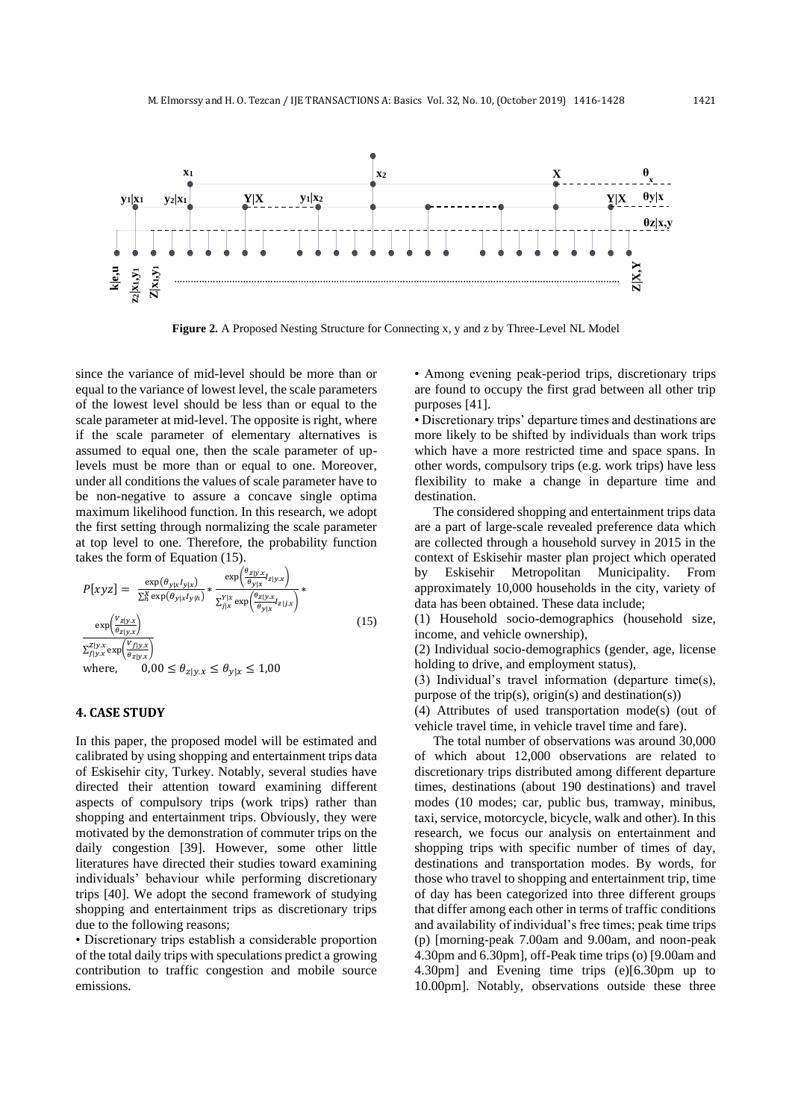

**Figure 2.** A Proposed Nesting Structure for Connecting x, y and z by Three-Level NL Model

since the variance of mid-level should be more than or equal to the variance of lowest level, the scale parameters of the lowest level should be less than or equal to the scale parameter at mid-level. The opposite is right, where if the scale parameter of elementary alternatives is assumed to equal one, then the scale parameter of uplevels must be more than or equal to one. Moreover, under all conditions the values of scale parameter have to be non-negative to assure a concave single optima maximum likelihood function. In this research, we adopt the first setting through normalizing the scale parameter at top level to one. Therefore, the probability function takes the form of Equation (15).

$$
P[xyz] = \frac{\exp(\theta_{y|x}I_{y|x})}{\sum_{h}^{X} \exp(\theta_{y|x}I_{y|h})} * \frac{\exp(\frac{\theta_{z|y,x}}{\theta_{y|x}}I_{z|y.x})}{\sum_{j|x}^{Y|x} \exp(\frac{\theta_{z|y,x}}{\theta_{y|x}}I_{z|j.x})} * \frac{\exp(\frac{V_{z|y,x}}{\theta_{z|y.x}}I_{z|y.x})}{\sum_{j|y,x}^{Z|y,x} \exp(\frac{V_{f|y,x}}{\theta_{z|y.x}})} \tag{15}
$$
\nwhere,  $0,00 \le \theta_{z|y.x} \le \theta_{y|x} \le 1,00$ 

#### **4. CASE STUDY**

In this paper, the proposed model will be estimated and calibrated by using shopping and entertainment trips data of Eskisehir city, Turkey. Notably, several studies have directed their attention toward examining different aspects of compulsory trips (work trips) rather than shopping and entertainment trips. Obviously, they were motivated by the demonstration of commuter trips on the daily congestion [\[39\]](#page-12-1). However, some other little literatures have directed their studies toward examining individuals' behaviour while performing discretionary trips [\[40\]](#page-12-2). We adopt the second framework of studying shopping and entertainment trips as discretionary trips due to the following reasons;

• Discretionary trips establish a considerable proportion of the total daily trips with speculations predict a growing contribution to traffic congestion and mobile source emissions.

• Among evening peak-period trips, discretionary trips are found to occupy the first grad between all other trip purposes [\[41\]](#page-12-3).

• Discretionary trips' departure times and destinations are more likely to be shifted by individuals than work trips which have a more restricted time and space spans. In other words, compulsory trips (e.g. work trips) have less flexibility to make a change in departure time and destination.

The considered shopping and entertainment trips data are a part of large-scale revealed preference data which are collected through a household survey in 2015 in the context of Eskisehir master plan project which operated by Eskisehir Metropolitan Municipality. From approximately 10,000 households in the city, variety of data has been obtained. These data include;

(1) Household socio-demographics (household size, income, and vehicle ownership),

(2) Individual socio-demographics (gender, age, license holding to drive, and employment status),

(3) Individual's travel information (departure time(s), purpose of the trip(s), origin(s) and destination(s))

(4) Attributes of used transportation mode(s) (out of vehicle travel time, in vehicle travel time and fare).

The total number of observations was around 30,000 of which about 12,000 observations are related to discretionary trips distributed among different departure times, destinations (about 190 destinations) and travel modes (10 modes; car, public bus, tramway, minibus, taxi, service, motorcycle, bicycle, walk and other). In this research, we focus our analysis on entertainment and shopping trips with specific number of times of day, destinations and transportation modes. By words, for those who travel to shopping and entertainment trip, time of day has been categorized into three different groups that differ among each other in terms of traffic conditions and availability of individual's free times; peak time trips (p) [morning-peak 7.00am and 9.00am, and noon-peak 4.30pm and 6.30pm], off-Peak time trips (o) [9.00am and 4.30pm] and Evening time trips (e)[6.30pm up to 10.00pm]. Notably, observations outside these three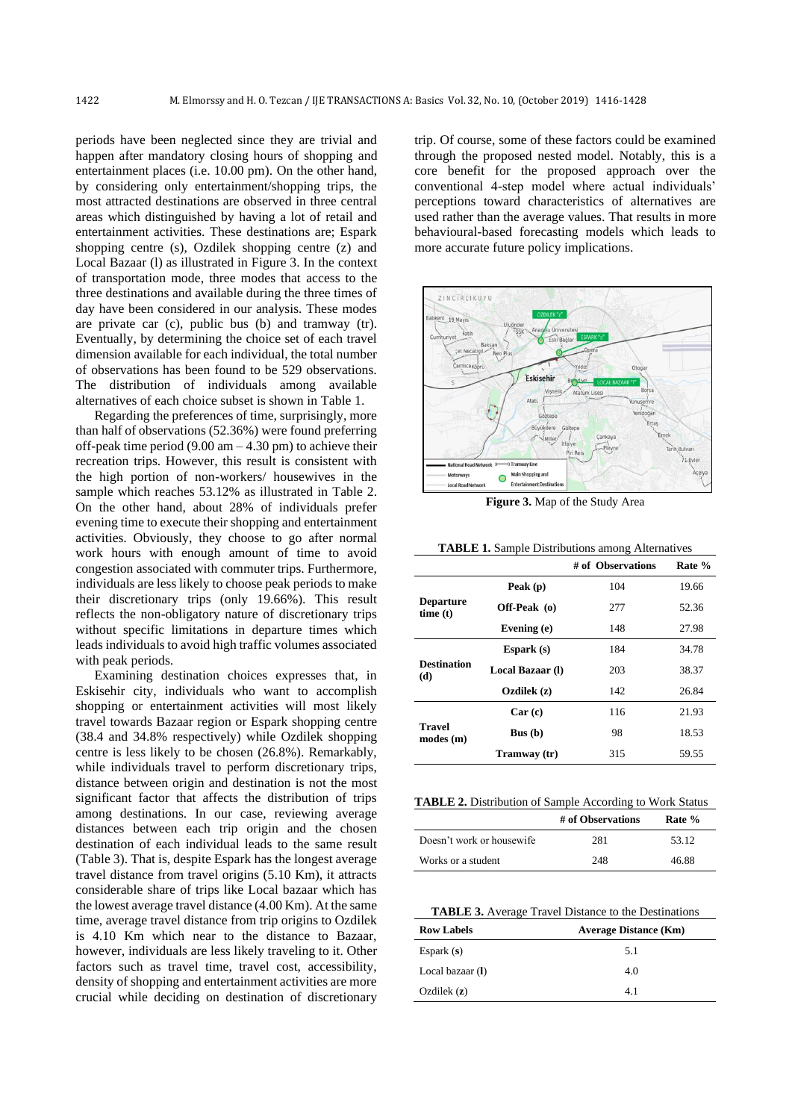periods have been neglected since they are trivial and happen after mandatory closing hours of shopping and entertainment places (i.e. 10.00 pm). On the other hand, by considering only entertainment/shopping trips, the most attracted destinations are observed in three central areas which distinguished by having a lot of retail and entertainment activities. These destinations are; Espark shopping centre (s), Ozdilek shopping centre (z) and Local Bazaar (l) as illustrated in Figure 3. In the context of transportation mode, three modes that access to the three destinations and available during the three times of day have been considered in our analysis. These modes are private car (c), public bus (b) and tramway (tr). Eventually, by determining the choice set of each travel dimension available for each individual, the total number of observations has been found to be 529 observations. The distribution of individuals among available alternatives of each choice subset is shown in Table 1.

Regarding the preferences of time, surprisingly, more than half of observations (52.36%) were found preferring off-peak time period  $(9.00 \text{ am} - 4.30 \text{ pm})$  to achieve their recreation trips. However, this result is consistent with the high portion of non-workers/ housewives in the sample which reaches 53.12% as illustrated in Table 2. On the other hand, about 28% of individuals prefer evening time to execute their shopping and entertainment activities. Obviously, they choose to go after normal work hours with enough amount of time to avoid congestion associated with commuter trips. Furthermore, individuals are less likely to choose peak periods to make their discretionary trips (only 19.66%). This result reflects the non-obligatory nature of discretionary trips without specific limitations in departure times which leads individuals to avoid high traffic volumes associated with peak periods.

Examining destination choices expresses that, in Eskisehir city, individuals who want to accomplish shopping or entertainment activities will most likely travel towards Bazaar region or Espark shopping centre (38.4 and 34.8% respectively) while Ozdilek shopping centre is less likely to be chosen (26.8%). Remarkably, while individuals travel to perform discretionary trips, distance between origin and destination is not the most significant factor that affects the distribution of trips among destinations. In our case, reviewing average distances between each trip origin and the chosen destination of each individual leads to the same result (Table 3). That is, despite Espark has the longest average travel distance from travel origins (5.10 Km), it attracts considerable share of trips like Local bazaar which has the lowest average travel distance (4.00 Km). At the same time, average travel distance from trip origins to Ozdilek is 4.10 Km which near to the distance to Bazaar, however, individuals are less likely traveling to it. Other factors such as travel time, travel cost, accessibility, density of shopping and entertainment activities are more crucial while deciding on destination of discretionary

trip. Of course, some of these factors could be examined through the proposed nested model. Notably, this is a core benefit for the proposed approach over the conventional 4-step model where actual individuals' perceptions toward characteristics of alternatives are used rather than the average values. That results in more behavioural-based forecasting models which leads to more accurate future policy implications.



**Figure 3.** Map of the Study Area

|                                                         |                  | # of Observations | Rate % |
|---------------------------------------------------------|------------------|-------------------|--------|
|                                                         | Peak (p)         | 104               | 19.66  |
| <b>Departure</b><br>time(t)                             | Off-Peak (o)     | 277               | 52.36  |
|                                                         | Evening (e)      | 148               | 27.98  |
|                                                         | Espark $(s)$     | 184               | 34.78  |
| <b>Destination</b><br>(d)                               | Local Bazaar (1) | 203               | 38.37  |
|                                                         | Ozdilek (z)      | 142               | 26.84  |
|                                                         | Car(c)           | 116               | 21.93  |
| <b>Travel</b><br>$\text{modes} \left( \text{m} \right)$ | Bus(b)           | 98                | 18.53  |
|                                                         | Tramway (tr)     | 315               | 59.55  |

**TABLE 1.** Sample Distributions among Alternatives

**TABLE 2.** Distribution of Sample According to Work Status

|                           | # of Observations | Rate % |
|---------------------------|-------------------|--------|
| Doesn't work or housewife | 281               | 53.12  |
| Works or a student        | 248               | 46.88  |

**TABLE 3.** Average Travel Distance to the Destinations

| <b>Row Labels</b> | <b>Average Distance (Km)</b> |  |  |  |
|-------------------|------------------------------|--|--|--|
| Espark $(s)$      | 5.1                          |  |  |  |
| Local bazaar (I)  | 4.0                          |  |  |  |
| Ozdilek $(z)$     | 4.1                          |  |  |  |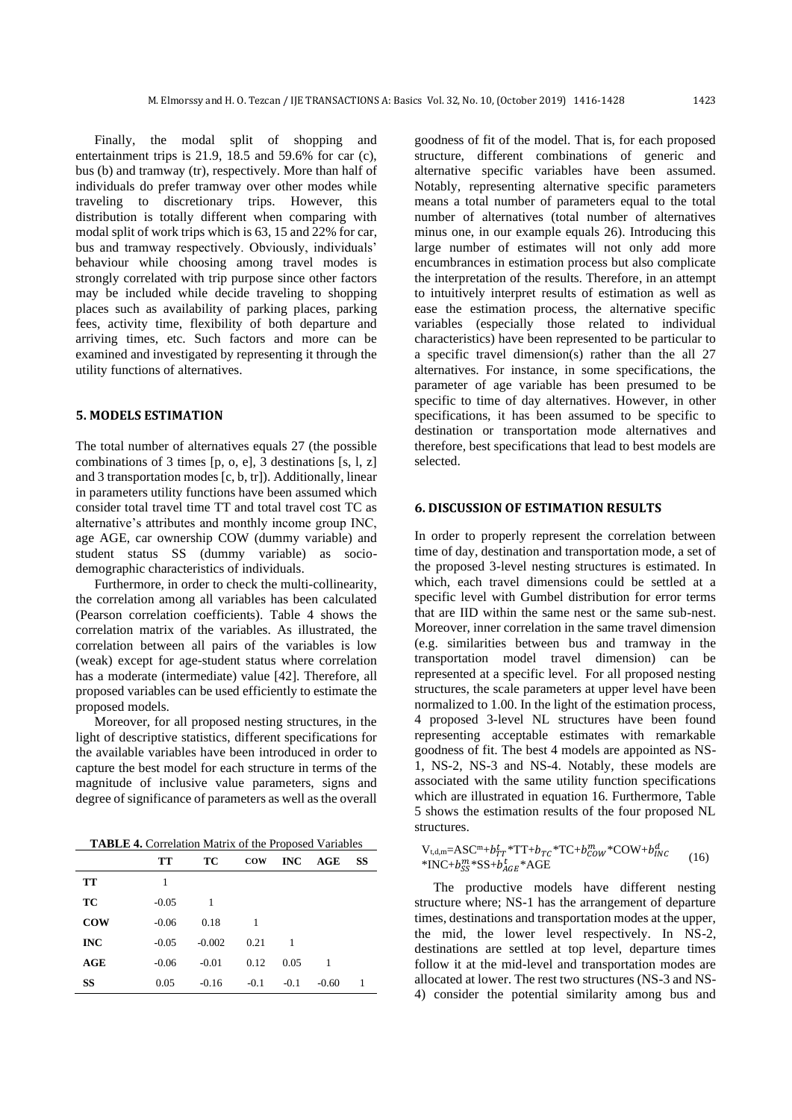Finally, the modal split of shopping and entertainment trips is 21.9,  $18.5$  and  $59.6\%$  for car (c), bus (b) and tramway (tr), respectively. More than half of individuals do prefer tramway over other modes while traveling to discretionary trips. However, this distribution is totally different when comparing with modal split of work trips which is 63, 15 and 22% for car, bus and tramway respectively. Obviously, individuals' behaviour while choosing among travel modes is strongly correlated with trip purpose since other factors may be included while decide traveling to shopping places such as availability of parking places, parking fees, activity time, flexibility of both departure and arriving times, etc. Such factors and more can be examined and investigated by representing it through the utility functions of alternatives.

## **5. MODELS ESTIMATION**

The total number of alternatives equals 27 (the possible combinations of 3 times [p, o, e], 3 destinations [s, l, z] and 3 transportation modes [c, b, tr]). Additionally, linear in parameters utility functions have been assumed which consider total travel time TT and total travel cost TC as alternative's attributes and monthly income group INC, age AGE, car ownership COW (dummy variable) and student status SS (dummy variable) as sociodemographic characteristics of individuals.

Furthermore, in order to check the multi-collinearity, the correlation among all variables has been calculated (Pearson correlation coefficients). Table 4 shows the correlation matrix of the variables. As illustrated, the correlation between all pairs of the variables is low (weak) except for age-student status where correlation has a moderate (intermediate) value [\[42\]](#page-12-4). Therefore, all proposed variables can be used efficiently to estimate the proposed models.

Moreover, for all proposed nesting structures, in the light of descriptive statistics, different specifications for the available variables have been introduced in order to capture the best model for each structure in terms of the magnitude of inclusive value parameters, signs and degree of significance of parameters as well as the overall

**TABLE 4.** Correlation Matrix of the Proposed Variables

|            | TT      | ТC       | <b>COW</b> | INC    | AGE     | SS |
|------------|---------|----------|------------|--------|---------|----|
| TT         | 1       |          |            |        |         |    |
| ТC         | $-0.05$ | 1        |            |        |         |    |
| <b>COW</b> | $-0.06$ | 0.18     | 1          |        |         |    |
| <b>INC</b> | $-0.05$ | $-0.002$ | 0.21       | -1     |         |    |
| AGE        | $-0.06$ | $-0.01$  | 0.12       | 0.05   | 1       |    |
| SS         | 0.05    | $-0.16$  | $-0.1$     | $-0.1$ | $-0.60$ | 1  |

goodness of fit of the model. That is, for each proposed structure, different combinations of generic and alternative specific variables have been assumed. Notably, representing alternative specific parameters means a total number of parameters equal to the total number of alternatives (total number of alternatives minus one, in our example equals 26). Introducing this large number of estimates will not only add more encumbrances in estimation process but also complicate the interpretation of the results. Therefore, in an attempt to intuitively interpret results of estimation as well as ease the estimation process, the alternative specific variables (especially those related to individual characteristics) have been represented to be particular to a specific travel dimension(s) rather than the all 27 alternatives. For instance, in some specifications, the parameter of age variable has been presumed to be specific to time of day alternatives. However, in other specifications, it has been assumed to be specific to destination or transportation mode alternatives and therefore, best specifications that lead to best models are selected.

#### **6. DISCUSSION OF ESTIMATION RESULTS**

In order to properly represent the correlation between time of day, destination and transportation mode, a set of the proposed 3-level nesting structures is estimated. In which, each travel dimensions could be settled at a specific level with Gumbel distribution for error terms that are IID within the same nest or the same sub-nest. Moreover, inner correlation in the same travel dimension (e.g. similarities between bus and tramway in the transportation model travel dimension) can be represented at a specific level. For all proposed nesting structures, the scale parameters at upper level have been normalized to 1.00. In the light of the estimation process, 4 proposed 3-level NL structures have been found representing acceptable estimates with remarkable goodness of fit. The best 4 models are appointed as NS-1, NS-2, NS-3 and NS-4. Notably, these models are associated with the same utility function specifications which are illustrated in equation 16. Furthermore, Table 5 shows the estimation results of the four proposed NL structures.

 $V_{t,d,m} = AGC^m + b_T^t r^* TT + b_{TC}^T*C + b_{COM}^m*COW + b_{INC}^d$  (16)<br>\*INC+ $b_{SS}^{m}$ \*SS+ $b_{ACE}^{t}$ \*AGE  $*$ INC+ $b_{SS}^m$  $*$ SS+ $b_{AGE}^t$ 

The productive models have different nesting structure where; NS-1 has the arrangement of departure times, destinations and transportation modes at the upper, the mid, the lower level respectively. In NS-2, destinations are settled at top level, departure times follow it at the mid-level and transportation modes are allocated at lower. The rest two structures (NS-3 and NS-4) consider the potential similarity among bus and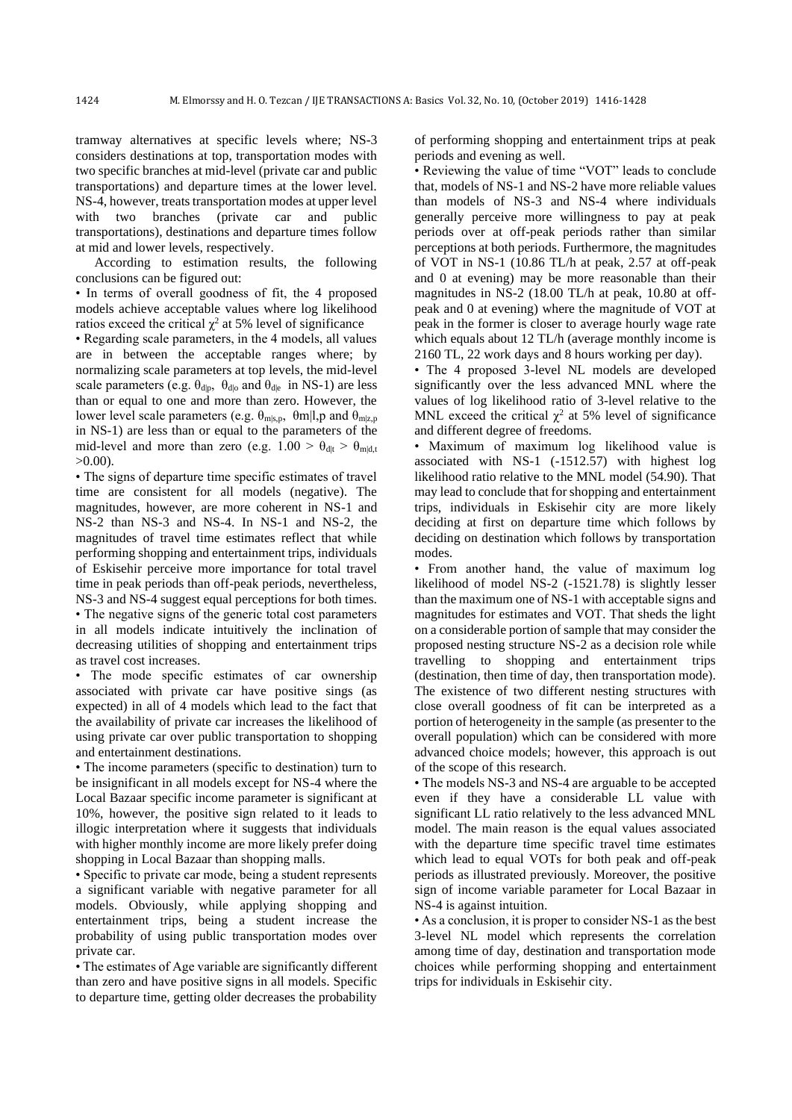tramway alternatives at specific levels where; NS-3 considers destinations at top, transportation modes with two specific branches at mid-level (private car and public transportations) and departure times at the lower level. NS-4, however, treats transportation modes at upper level with two branches (private car and public transportations), destinations and departure times follow at mid and lower levels, respectively.

According to estimation results, the following conclusions can be figured out:

• In terms of overall goodness of fit, the 4 proposed models achieve acceptable values where log likelihood ratios exceed the critical  $\chi^2$  at 5% level of significance

• Regarding scale parameters, in the 4 models, all values are in between the acceptable ranges where; by normalizing scale parameters at top levels, the mid-level scale parameters (e.g.  $\theta_{d|p}$ ,  $\theta_{d|o}$  and  $\theta_{d|e}$  in NS-1) are less than or equal to one and more than zero. However, the lower level scale parameters (e.g.  $\theta_{\text{m}|s,p}$ ,  $\theta_{\text{m}|l,p}$  and  $\theta_{\text{m}|z,p}$ in NS-1) are less than or equal to the parameters of the mid-level and more than zero (e.g.  $1.00 > \theta_{\text{dlt}} > \theta_{\text{mld,t}}$  $>0.00$ ).

• The signs of departure time specific estimates of travel time are consistent for all models (negative). The magnitudes, however, are more coherent in NS-1 and NS-2 than NS-3 and NS-4. In NS-1 and NS-2, the magnitudes of travel time estimates reflect that while performing shopping and entertainment trips, individuals of Eskisehir perceive more importance for total travel time in peak periods than off-peak periods, nevertheless, NS-3 and NS-4 suggest equal perceptions for both times. • The negative signs of the generic total cost parameters in all models indicate intuitively the inclination of decreasing utilities of shopping and entertainment trips as travel cost increases.

• The mode specific estimates of car ownership associated with private car have positive sings (as expected) in all of 4 models which lead to the fact that the availability of private car increases the likelihood of using private car over public transportation to shopping and entertainment destinations.

• The income parameters (specific to destination) turn to be insignificant in all models except for NS-4 where the Local Bazaar specific income parameter is significant at 10%, however, the positive sign related to it leads to illogic interpretation where it suggests that individuals with higher monthly income are more likely prefer doing shopping in Local Bazaar than shopping malls.

• Specific to private car mode, being a student represents a significant variable with negative parameter for all models. Obviously, while applying shopping and entertainment trips, being a student increase the probability of using public transportation modes over private car.

• The estimates of Age variable are significantly different than zero and have positive signs in all models. Specific to departure time, getting older decreases the probability

of performing shopping and entertainment trips at peak periods and evening as well.

• Reviewing the value of time "VOT" leads to conclude that, models of NS-1 and NS-2 have more reliable values than models of NS-3 and NS-4 where individuals generally perceive more willingness to pay at peak periods over at off-peak periods rather than similar perceptions at both periods. Furthermore, the magnitudes of VOT in NS-1 (10.86 TL/h at peak, 2.57 at off-peak and 0 at evening) may be more reasonable than their magnitudes in NS-2 (18.00 TL/h at peak, 10.80 at offpeak and 0 at evening) where the magnitude of VOT at peak in the former is closer to average hourly wage rate which equals about 12 TL/h (average monthly income is 2160 TL, 22 work days and 8 hours working per day).

• The 4 proposed 3-level NL models are developed significantly over the less advanced MNL where the values of log likelihood ratio of 3-level relative to the MNL exceed the critical  $\chi^2$  at 5% level of significance and different degree of freedoms.

• Maximum of maximum log likelihood value is associated with NS-1 (-1512.57) with highest log likelihood ratio relative to the MNL model (54.90). That may lead to conclude that for shopping and entertainment trips, individuals in Eskisehir city are more likely deciding at first on departure time which follows by deciding on destination which follows by transportation modes.

• From another hand, the value of maximum log likelihood of model NS-2 (-1521.78) is slightly lesser than the maximum one of NS-1 with acceptable signs and magnitudes for estimates and VOT. That sheds the light on a considerable portion of sample that may consider the proposed nesting structure NS-2 as a decision role while travelling to shopping and entertainment trips (destination, then time of day, then transportation mode). The existence of two different nesting structures with close overall goodness of fit can be interpreted as a portion of heterogeneity in the sample (as presenter to the overall population) which can be considered with more advanced choice models; however, this approach is out of the scope of this research.

• The models NS-3 and NS-4 are arguable to be accepted even if they have a considerable LL value with significant LL ratio relatively to the less advanced MNL model. The main reason is the equal values associated with the departure time specific travel time estimates which lead to equal VOTs for both peak and off-peak periods as illustrated previously. Moreover, the positive sign of income variable parameter for Local Bazaar in NS-4 is against intuition.

• As a conclusion, it is proper to consider NS-1 as the best 3-level NL model which represents the correlation among time of day, destination and transportation mode choices while performing shopping and entertainment trips for individuals in Eskisehir city.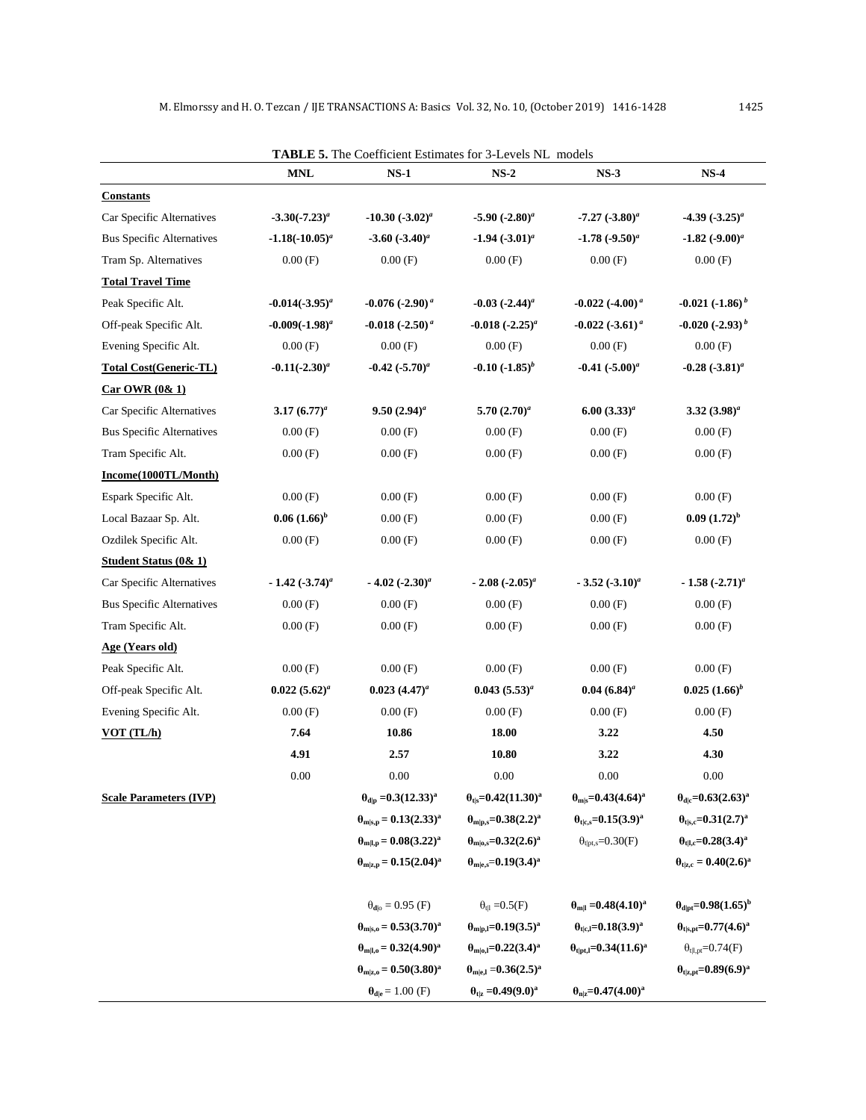|                                  |                     | <b>TABLE 5.</b> The Coefficient Estimates for 3-Levels NL models |                                              |                                           |                                        |
|----------------------------------|---------------------|------------------------------------------------------------------|----------------------------------------------|-------------------------------------------|----------------------------------------|
|                                  | <b>MNL</b>          | $NS-1$                                                           | $NS-2$                                       | $NS-3$                                    | $NS-4$                                 |
| <b>Constants</b>                 |                     |                                                                  |                                              |                                           |                                        |
| Car Specific Alternatives        | $-3.30(-7.23)^{a}$  | $-10.30 (-3.02)^a$                                               | $-5.90 (-2.80)^a$                            | $-7.27 (-3.80)^a$                         | $-4.39$ $(-3.25)^a$                    |
| <b>Bus Specific Alternatives</b> | $-1.18(-10.05)^{a}$ | $-3.60$ $(-3.40)^a$                                              | $-1.94$ $(-3.01)^{a}$                        | $-1.78 (-9.50)^a$                         | $-1.82 (-9.00)^a$                      |
| Tram Sp. Alternatives            | 0.00(F)             | 0.00(F)                                                          | 0.00(F)                                      | 0.00(F)                                   | 0.00(F)                                |
| <b>Total Travel Time</b>         |                     |                                                                  |                                              |                                           |                                        |
| Peak Specific Alt.               | $-0.014(-3.95)^{a}$ | $-0.076$ $(-2.90)^{a}$                                           | $-0.03$ $(-2.44)^a$                          | $-0.022$ $(-4.00)^{a}$                    | $-0.021(-1.86)^{b}$                    |
| Off-peak Specific Alt.           | $-0.009(-1.98)^{a}$ | $-0.018 (-2.50)^{a}$                                             | $-0.018 (-2.25)^a$                           | $-0.022$ $(-3.61)^{a}$                    | $-0.020 (-2.93)^{b}$                   |
| Evening Specific Alt.            | 0.00(F)             | 0.00(F)                                                          | 0.00(F)                                      | 0.00(F)                                   | 0.00(F)                                |
| <b>Total Cost(Generic-TL)</b>    | $-0.11(-2.30)^a$    | $-0.42$ $(-5.70)^a$                                              | $-0.10$ $(-1.85)^{b}$                        | $-0.41$ $(-5.00)^a$                       | -0.28 $(.3.81)^a$                      |
| Car OWR (0 & 1)                  |                     |                                                                  |                                              |                                           |                                        |
| Car Specific Alternatives        | 3.17 $(6.77)^a$     | $9.50(2.94)^a$                                                   | 5.70 $(2.70)^a$                              | $6.00(3.33)^{a}$                          | $3.32~(3.98)^a$                        |
| <b>Bus Specific Alternatives</b> | 0.00(F)             | 0.00(F)                                                          | 0.00(F)                                      | 0.00(F)                                   | 0.00(F)                                |
| Tram Specific Alt.               | 0.00(F)             | 0.00(F)                                                          | 0.00(F)                                      | 0.00(F)                                   | 0.00(F)                                |
| Income(1000TL/Month)             |                     |                                                                  |                                              |                                           |                                        |
| Espark Specific Alt.             | 0.00(F)             | 0.00(F)                                                          | 0.00(F)                                      | 0.00(F)                                   | 0.00(F)                                |
| Local Bazaar Sp. Alt.            | $0.06(1.66)^b$      | 0.00(F)                                                          | 0.00(F)                                      | 0.00(F)                                   | $0.09~(1.72)^{b}$                      |
| Ozdilek Specific Alt.            | 0.00(F)             | 0.00(F)                                                          | 0.00(F)                                      | 0.00(F)                                   | 0.00(F)                                |
| <b>Student Status (0&amp; 1)</b> |                     |                                                                  |                                              |                                           |                                        |
| Car Specific Alternatives        | $-1.42 (-3.74)^a$   | $-4.02$ $(-2.30)^a$                                              | $-2.08 (-2.05)^a$                            | $-3.52$ $(-3.10)^a$                       | $-1.58 (-2.71)^a$                      |
| <b>Bus Specific Alternatives</b> | 0.00(F)             | 0.00(F)                                                          | 0.00(F)                                      | 0.00(F)                                   | 0.00(F)                                |
| Tram Specific Alt.               | 0.00(F)             | 0.00(F)                                                          | 0.00(F)                                      | 0.00(F)                                   | 0.00(F)                                |
| Age (Years old)                  |                     |                                                                  |                                              |                                           |                                        |
| Peak Specific Alt.               | 0.00(F)             | 0.00(F)                                                          | 0.00(F)                                      | 0.00(F)                                   | 0.00(F)                                |
| Off-peak Specific Alt.           | $0.022~(5.62)^a$    | $0.023$ $(4.47)^a$                                               | $0.043~(5.53)^{a}$                           | $0.04~(6.84)^a$                           | $0.025(1.66)^b$                        |
| Evening Specific Alt.            | 0.00(F)             | 0.00(F)                                                          | 0.00(F)                                      | 0.00(F)                                   | 0.00(F)                                |
| VOT (TL/h)                       | 7.64                | 10.86                                                            | 18.00                                        | 3.22                                      | 4.50                                   |
|                                  | 4.91                | 2.57                                                             | 10.80                                        | 3.22                                      | 4.30                                   |
|                                  | $0.00\,$            | 0.00                                                             | 0.00                                         | 0.00                                      | 0.00                                   |
| <b>Scale Parameters (IVP)</b>    |                     | $\theta_{\rm d p} = 0.3(12.33)^{a}$                              | $\theta_{\text{tis}} = 0.42(11.30)^{a}$      | $\theta_{\rm m s} = 0.43(4.64)^{\rm a}$   | $\theta_{d c} = 0.63(2.63)^a$          |
|                                  |                     | $\theta_{\rm m s,p} = 0.13(2.33)^{\rm a}$                        | $\theta_{\rm m p,s}=0.38(2.2)^{a}$           | $\theta_{t c,s} = 0.15(3.9)^a$            | $\theta_{t s,c} = 0.31(2.7)^a$         |
|                                  |                     | $\theta_{m l,p} = 0.08(3.22)^a$                                  | $\theta_{\rm m o,s}$ =0.32(2.6) <sup>a</sup> | $\theta_{\text{tipt,s}} = 0.30(F)$        | $\theta_{\text{tl,c}} = 0.28(3.4)^{a}$ |
|                                  |                     | $\theta_{m z,p} = 0.15(2.04)^a$                                  | $\theta_{\rm m e,s}=0.19(3.4)^{\rm a}$       |                                           | $\theta_{t z,c} = 0.40(2.6)^a$         |
|                                  |                     |                                                                  |                                              |                                           |                                        |
|                                  |                     | $\theta_{\rm d o} = 0.95$ (F)                                    | $\theta_{tl} = 0.5(F)$                       | $\theta_{\rm m1} = 0.48(4.10)^{\rm a}$    | $\theta_{\text{dipt}} = 0.98(1.65)^b$  |
|                                  |                     | $\theta_{\rm m s,o} = 0.53(3.70)^{\rm a}$                        | $\theta_{m p,l}=0.19(3.5)^{a}$               | $\theta_{t c,l} = 0.18(3.9)^a$            | $\theta_{t s,pt} = 0.77(4.6)^{a}$      |
|                                  |                     | $\theta_{\text{mL},0} = 0.32(4.90)^{a}$                          | $\theta_{m o,l} = 0.22(3.4)^a$               | $\theta_{\text{tipt,1}} = 0.34(11.6)^{a}$ | $\theta_{t l,pt} = 0.74(F)$            |
|                                  |                     | $\theta_{m z,0} = 0.50(3.80)^a$                                  | $\theta_{m e,l} = 0.36(2.5)^{a}$             |                                           | $\theta_{t z,pt} = 0.89(6.9)^a$        |
|                                  |                     | $\theta_{\text{d} \text{e}}$ = 1.00 (F)                          | $\theta_{t z} = 0.49(9.0)^a$                 | $\theta_{\rm n z} = 0.47(4.00)^{\rm a}$   |                                        |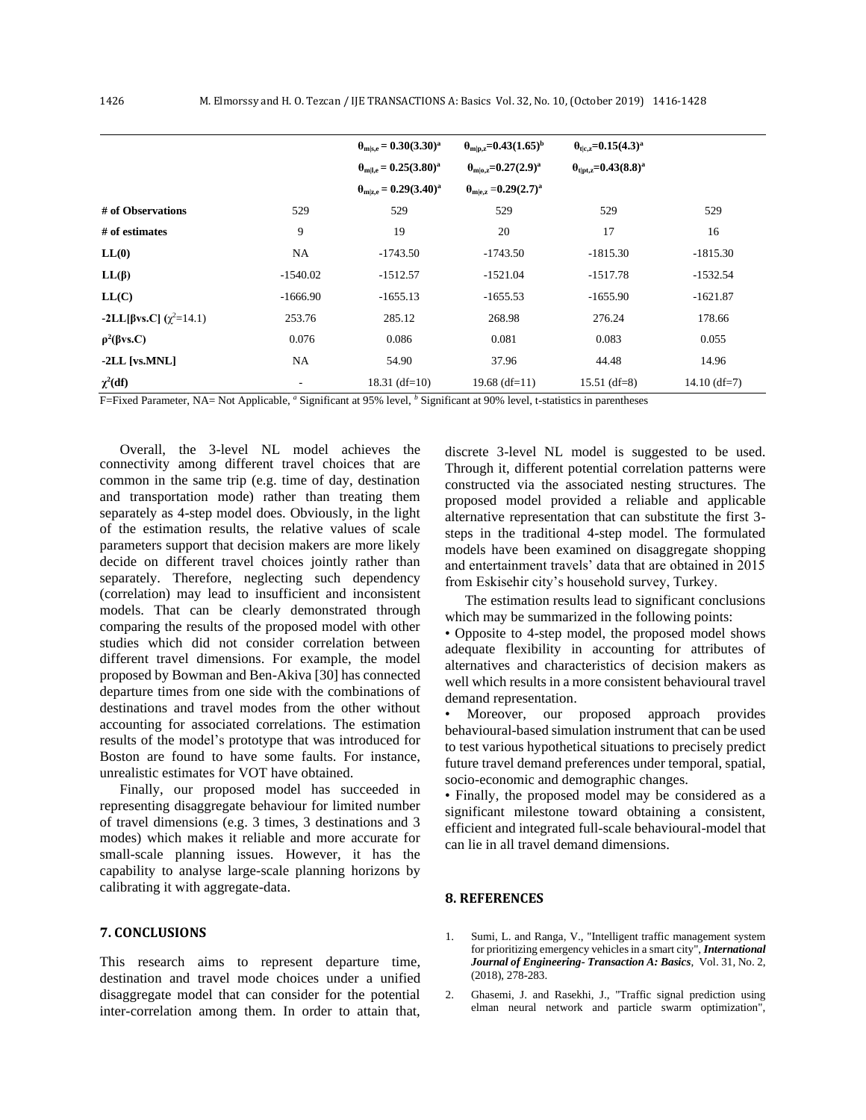|                         |            | $\theta_{\rm mls.e} = 0.30(3.30)^{\rm a}$ | $\theta_{\text{mlp},z}$ =0.43(1.65) <sup>b</sup> | $\theta_{\text{tlc},z} = 0.15(4.3)^{a}$  |                |
|-------------------------|------------|-------------------------------------------|--------------------------------------------------|------------------------------------------|----------------|
|                         |            | $\theta_{m l,e} = 0.25(3.80)^{a}$         | $\theta_{\text{mlo},z}$ =0.27(2.9) <sup>a</sup>  | $\theta_{\text{tipt,z}} = 0.43(8.8)^{a}$ |                |
|                         |            | $\theta_{\rm mize} = 0.29(3.40)^{\rm a}$  | $\theta_{\text{mle},z} = 0.29(2.7)^{a}$          |                                          |                |
| # of Observations       | 529        | 529                                       | 529                                              | 529                                      | 529            |
| # of estimates          | 9          | 19                                        | 20                                               | 17                                       | 16             |
| LL(0)                   | NA         | $-1743.50$                                | $-1743.50$                                       | $-1815.30$                               | $-1815.30$     |
| $LL(\beta)$             | $-1540.02$ | $-1512.57$                                | $-1521.04$                                       | $-1517.78$                               | $-1532.54$     |
| LL(C)                   | $-1666.90$ | $-1655.13$                                | $-1655.53$                                       | $-1655.90$                               | $-1621.87$     |
| -2LL[βvs.C] $(χ2=14.1)$ | 253.76     | 285.12                                    | 268.98                                           | 276.24                                   | 178.66         |
| $\rho^2(\beta vs. C)$   | 0.076      | 0.086                                     | 0.081                                            | 0.083                                    | 0.055          |
| $-2LL$ [vs.MNL]         | NA.        | 54.90                                     | 37.96                                            | 44.48                                    | 14.96          |
| $\chi^2(df)$            | ٠          | $18.31$ (df=10)                           | $19.68$ (df=11)                                  | $15.51$ (df=8)                           | $14.10$ (df=7) |

F=Fixed Parameter, NA= Not Applicable, *<sup>a</sup>* Significant at 95% level, *<sup>b</sup>* Significant at 90% level, t-statistics in parentheses

connectivity among different travel choices that are common in the same trip (e.g. time of day, destination and transportation mode) rather than treating them separately as 4-step model does. Obviously, in the light of the estimation results, the relative values of scale parameters support that decision makers are more likely decide on different travel choices jointly rather than separately. Therefore, neglecting such dependency (correlation) may lead to insufficient and inconsistent models. That can be clearly demonstrated through comparing the results of the proposed model with other studies which did not consider correlation between different travel dimensions. For example, the model proposed by Bowman and Ben-Akiva [30] has connected departure times from one side with the combinations of destinations and travel modes from the other without accounting for associated correlations. The estimation results of the model's prototype that was introduced for Boston are found to have some faults. For instance, unrealistic estimates for VOT have obtained. Overall, the 3-level NL model achieves the discrete 3-level NL model is suggested to be used.

Finally, our proposed model has succeeded in representing disaggregate behaviour for limited number of travel dimensions (e.g. 3 times, 3 destinations and 3 modes) which makes it reliable and more accurate for small-scale planning issues. However, it has the capability to analyse large-scale planning horizons by calibrating it with aggregate-data.

#### **7. CONCLUSIONS**

This research aims to represent departure time, destination and travel mode choices under a unified disaggregate model that can consider for the potential inter-correlation among them. In order to attain that,

Through it, different potential correlation patterns were constructed via the associated nesting structures. The proposed model provided a reliable and applicable alternative representation that can substitute the first 3 steps in the traditional 4-step model. The formulated models have been examined on disaggregate shopping and entertainment travels' data that are obtained in 2015 from Eskisehir city's household survey, Turkey.

The estimation results lead to significant conclusions which may be summarized in the following points:

• Opposite to 4-step model, the proposed model shows adequate flexibility in accounting for attributes of alternatives and characteristics of decision makers as well which results in a more consistent behavioural travel demand representation.

• Moreover, our proposed approach provides behavioural-based simulation instrument that can be used to test various hypothetical situations to precisely predict future travel demand preferences under temporal, spatial, socio-economic and demographic changes.

• Finally, the proposed model may be considered as a significant milestone toward obtaining a consistent, efficient and integrated full-scale behavioural-model that can lie in all travel demand dimensions.

#### **8. REFERENCES**

- 1. Sumi, L. and Ranga, V., "Intelligent traffic management system for prioritizing emergency vehiclesin a smart city", *International Journal of Engineering- Transaction A: Basics*, Vol. 31, No. 2, (2018), 278-283.
- <span id="page-10-1"></span><span id="page-10-0"></span>2. Ghasemi, J. and Rasekhi, J., "Traffic signal prediction using elman neural network and particle swarm optimization",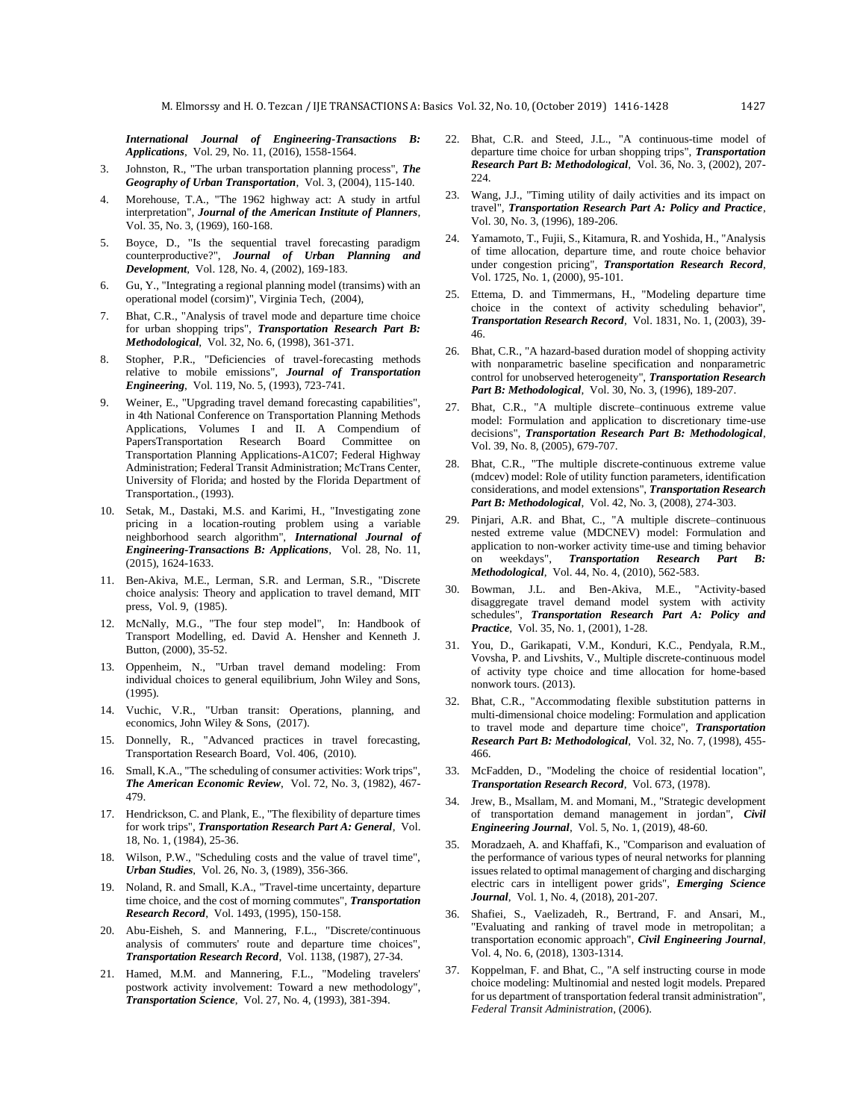*International Journal of Engineering-Transactions B: Applications*, Vol. 29, No. 11, (2016), 1558-1564.

- 3. Johnston, R., "The urban transportation planning process", *The Geography of Urban Transportation*, Vol. 3, (2004), 115-140.
- 4. Morehouse, T.A., "The 1962 highway act: A study in artful interpretation", *Journal of the American Institute of Planners*, Vol. 35, No. 3, (1969), 160-168.
- <span id="page-11-0"></span>5. Boyce, D., "Is the sequential travel forecasting paradigm counterproductive?", *Journal of Urban Planning and Development*, Vol. 128, No. 4, (2002), 169-183.
- <span id="page-11-1"></span>6. Gu, Y., "Integrating a regional planning model (transims) with an operational model (corsim)", Virginia Tech, (2004),
- <span id="page-11-2"></span>7. Bhat, C.R., "Analysis of travel mode and departure time choice for urban shopping trips", *Transportation Research Part B: Methodological*, Vol. 32, No. 6, (1998), 361-371.
- <span id="page-11-3"></span>8. Stopher, P.R., "Deficiencies of travel-forecasting methods relative to mobile emissions", *Journal of Transportation Engineering*, Vol. 119, No. 5, (1993), 723-741.
- <span id="page-11-5"></span><span id="page-11-4"></span>Weiner, E., "Upgrading travel demand forecasting capabilities", in 4th National Conference on Transportation Planning Methods Applications, Volumes I and II. A Compendium of PapersTransportation Research Board Committee on Transportation Planning Applications-A1C07; Federal Highway Administration; Federal Transit Administration; McTrans Center, University of Florida; and hosted by the Florida Department of Transportation., (1993).
- 10. Setak, M., Dastaki, M.S. and Karimi, H., "Investigating zone pricing in a location-routing problem using a variable neighborhood search algorithm", *International Journal of Engineering-Transactions B: Applications*, Vol. 28, No. 11, (2015), 1624-1633.
- 11. Ben-Akiva, M.E., Lerman, S.R. and Lerman, S.R., "Discrete choice analysis: Theory and application to travel demand, MIT press, Vol. 9, (1985).
- 12. McNally, M.G., "The four step model", In: Handbook of Transport Modelling, ed. David A. Hensher and Kenneth J. Button, (2000), 35-52.
- <span id="page-11-6"></span>13. Oppenheim, N., "Urban travel demand modeling: From individual choices to general equilibrium, John Wiley and Sons, (1995).
- <span id="page-11-7"></span>14. Vuchic, V.R., "Urban transit: Operations, planning, and economics, John Wiley & Sons, (2017).
- <span id="page-11-8"></span>15. Donnelly, R., "Advanced practices in travel forecasting, Transportation Research Board, Vol. 406, (2010).
- <span id="page-11-9"></span>16. Small, K.A., "The scheduling of consumer activities: Work trips", *The American Economic Review*, Vol. 72, No. 3, (1982), 467- 479.
- <span id="page-11-10"></span>17. Hendrickson, C. and Plank, E., "The flexibility of departure times for work trips", *Transportation Research Part A: General*, Vol. 18, No. 1, (1984), 25-36.
- <span id="page-11-11"></span>18. Wilson, P.W., "Scheduling costs and the value of travel time", *Urban Studies*, Vol. 26, No. 3, (1989), 356-366.
- <span id="page-11-12"></span>19. Noland, R. and Small, K.A., "Travel-time uncertainty, departure time choice, and the cost of morning commutes", *Transportation Research Record*, Vol. 1493, (1995), 150-158.
- <span id="page-11-13"></span>20. Abu-Eisheh, S. and Mannering, F.L., "Discrete/continuous analysis of commuters' route and departure time choices", *Transportation Research Record*, Vol. 1138, (1987), 27-34.
- <span id="page-11-16"></span><span id="page-11-15"></span><span id="page-11-14"></span>21. Hamed, M.M. and Mannering, F.L., "Modeling travelers' postwork activity involvement: Toward a new methodology", *Transportation Science*, Vol. 27, No. 4, (1993), 381-394.
- 22. Bhat, C.R. and Steed, J.L., "A continuous-time model of departure time choice for urban shopping trips", *Transportation Research Part B: Methodological*, Vol. 36, No. 3, (2002), 207-  $224.$
- <span id="page-11-17"></span>23. Wang, J.J., "Timing utility of daily activities and its impact on travel", *Transportation Research Part A: Policy and Practice*, Vol. 30, No. 3, (1996), 189-206.
- <span id="page-11-18"></span>24. Yamamoto, T., Fujii, S., Kitamura, R. and Yoshida, H., "Analysis of time allocation, departure time, and route choice behavior under congestion pricing", *Transportation Research Record*, Vol. 1725, No. 1, (2000), 95-101.
- <span id="page-11-19"></span>25. Ettema, D. and Timmermans, H., "Modeling departure time choice in the context of activity scheduling behavior", *Transportation Research Record*, Vol. 1831, No. 1, (2003), 39- 46.
- <span id="page-11-20"></span>26. Bhat, C.R., "A hazard-based duration model of shopping activity with nonparametric baseline specification and nonparametric control for unobserved heterogeneity", *Transportation Research Part B: Methodological*, Vol. 30, No. 3, (1996), 189-207.
- <span id="page-11-21"></span>27. Bhat, C.R., "A multiple discrete–continuous extreme value model: Formulation and application to discretionary time-use decisions", *Transportation Research Part B: Methodological*, Vol. 39, No. 8, (2005), 679-707.
- <span id="page-11-22"></span>28. Bhat, C.R., "The multiple discrete-continuous extreme value (mdcev) model: Role of utility function parameters, identification considerations, and model extensions", *Transportation Research Part B: Methodological*, Vol. 42, No. 3, (2008), 274-303.
- <span id="page-11-23"></span>29. Pinjari, A.R. and Bhat, C., "A multiple discrete–continuous nested extreme value (MDCNEV) model: Formulation and application to non-worker activity time-use and timing behavior on weekdays", *Transportation Research Part B: Methodological*, Vol. 44, No. 4, (2010), 562-583.
- <span id="page-11-24"></span>30. Bowman, J.L. and Ben-Akiva, M.E., "Activity-based disaggregate travel demand model system with activity schedules", *Transportation Research Part A: Policy and Practice*, Vol. 35, No. 1, (2001), 1-28.
- <span id="page-11-25"></span>31. You, D., Garikapati, V.M., Konduri, K.C., Pendyala, R.M., Vovsha, P. and Livshits, V., Multiple discrete-continuous model of activity type choice and time allocation for home-based nonwork tours. (2013).
- <span id="page-11-26"></span>32. Bhat, C.R., "Accommodating flexible substitution patterns in multi-dimensional choice modeling: Formulation and application to travel mode and departure time choice", *Transportation Research Part B: Methodological*, Vol. 32, No. 7, (1998), 455- 466.
- <span id="page-11-27"></span>33. McFadden, D., "Modeling the choice of residential location", *Transportation Research Record*, Vol. 673, (1978).
- 34. Jrew, B., Msallam, M. and Momani, M., "Strategic development of transportation demand management in jordan", *Civil Engineering Journal*, Vol. 5, No. 1, (2019), 48-60.
- <span id="page-11-29"></span><span id="page-11-28"></span>35. Moradzaeh, A. and Khaffafi, K., "Comparison and evaluation of the performance of various types of neural networks for planning issues related to optimal management of charging and discharging electric cars in intelligent power grids", *Emerging Science Journal*, Vol. 1, No. 4, (2018), 201-207.
- <span id="page-11-30"></span>36. Shafiei, S., Vaelizadeh, R., Bertrand, F. and Ansari, M., "Evaluating and ranking of travel mode in metropolitan; a transportation economic approach", *Civil Engineering Journal*, Vol. 4, No. 6, (2018), 1303-1314.
- <span id="page-11-32"></span><span id="page-11-31"></span>37. Koppelman, F. and Bhat, C., "A self instructing course in mode choice modeling: Multinomial and nested logit models. Prepared for us department of transportation federal transit administration", *Federal Transit Administration*, (2006).